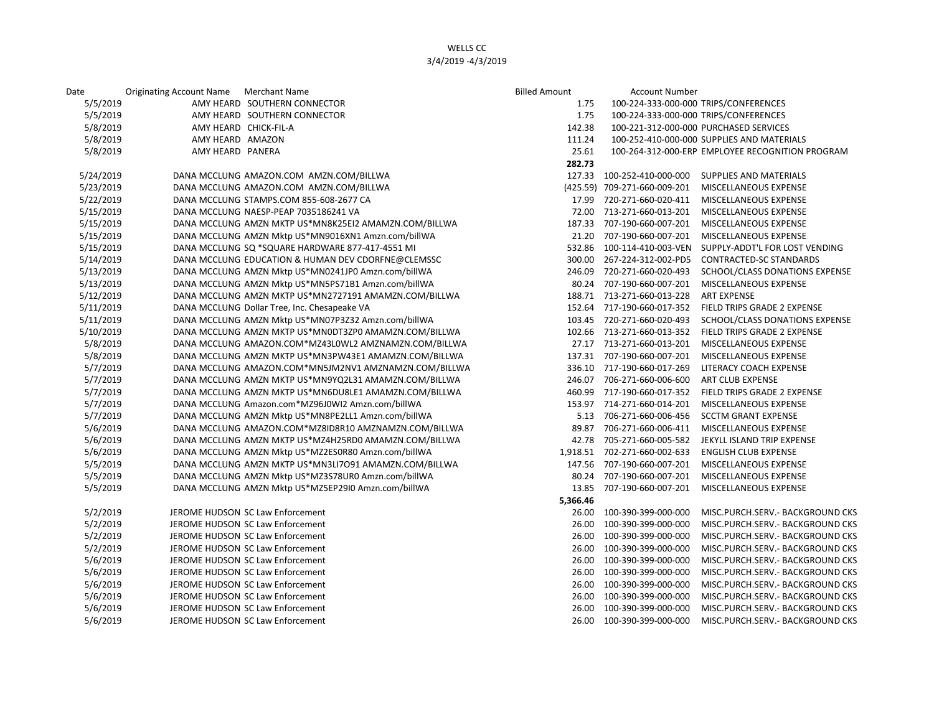## WELLS CC 3/4/2019 -4/3/2019

| Date      | Originating Account Name Merchant Name |                                                       | <b>Billed Amount</b> | <b>Account Number</b>                 |                                                  |
|-----------|----------------------------------------|-------------------------------------------------------|----------------------|---------------------------------------|--------------------------------------------------|
| 5/5/2019  |                                        | AMY HEARD SOUTHERN CONNECTOR                          | 1.75                 | 100-224-333-000-000 TRIPS/CONFERENCES |                                                  |
| 5/5/2019  |                                        | AMY HEARD SOUTHERN CONNECTOR                          | 1.75                 | 100-224-333-000-000 TRIPS/CONFERENCES |                                                  |
| 5/8/2019  |                                        | AMY HEARD CHICK-FIL-A                                 | 142.38               |                                       | 100-221-312-000-000 PURCHASED SERVICES           |
| 5/8/2019  | AMY HEARD AMAZON                       |                                                       | 111.24               |                                       | 100-252-410-000-000 SUPPLIES AND MATERIALS       |
| 5/8/2019  | AMY HEARD PANERA                       |                                                       | 25.61                |                                       | 100-264-312-000-ERP EMPLOYEE RECOGNITION PROGRAM |
|           |                                        |                                                       | 282.73               |                                       |                                                  |
| 5/24/2019 |                                        | DANA MCCLUNG AMAZON.COM AMZN.COM/BILLWA               |                      | 127.33 100-252-410-000-000            | SUPPLIES AND MATERIALS                           |
| 5/23/2019 |                                        | DANA MCCLUNG AMAZON.COM AMZN.COM/BILLWA               |                      | (425.59) 709-271-660-009-201          | MISCELLANEOUS EXPENSE                            |
| 5/22/2019 |                                        | DANA MCCLUNG STAMPS.COM 855-608-2677 CA               |                      | 17.99 720-271-660-020-411             | MISCELLANEOUS EXPENSE                            |
| 5/15/2019 |                                        | DANA MCCLUNG NAESP-PEAP 7035186241 VA                 |                      | 72.00 713-271-660-013-201             | MISCELLANEOUS EXPENSE                            |
| 5/15/2019 |                                        | DANA MCCLUNG AMZN MKTP US*MN8K25EI2 AMAMZN.COM/BILLWA | 187.33               | 707-190-660-007-201                   | MISCELLANEOUS EXPENSE                            |
| 5/15/2019 |                                        | DANA MCCLUNG AMZN Mktp US*MN9016XN1 Amzn.com/billWA   | 21.20                | 707-190-660-007-201                   | MISCELLANEOUS EXPENSE                            |
| 5/15/2019 |                                        | DANA MCCLUNG SQ *SQUARE HARDWARE 877-417-4551 MI      | 532.86               | 100-114-410-003-VEN                   | SUPPLY-ADDT'L FOR LOST VENDING                   |
| 5/14/2019 |                                        | DANA MCCLUNG EDUCATION & HUMAN DEV CDORFNE@CLEMSSC    | 300.00               | 267-224-312-002-PD5                   | <b>CONTRACTED-SC STANDARDS</b>                   |
| 5/13/2019 |                                        | DANA MCCLUNG AMZN Mktp US*MN0241JP0 Amzn.com/billWA   | 246.09               | 720-271-660-020-493                   | SCHOOL/CLASS DONATIONS EXPENSE                   |
| 5/13/2019 |                                        | DANA MCCLUNG AMZN Mktp US*MN5PS71B1 Amzn.com/billWA   |                      | 80.24 707-190-660-007-201             | MISCELLANEOUS EXPENSE                            |
| 5/12/2019 |                                        | DANA MCCLUNG AMZN MKTP US*MN2727191 AMAMZN.COM/BILLWA |                      | 188.71 713-271-660-013-228            | <b>ART EXPENSE</b>                               |
| 5/11/2019 |                                        | DANA MCCLUNG Dollar Tree, Inc. Chesapeake VA          | 152.64               | 717-190-660-017-352                   | FIELD TRIPS GRADE 2 EXPENSE                      |
| 5/11/2019 |                                        | DANA MCCLUNG AMZN Mktp US*MN07P3Z32 Amzn.com/billWA   |                      | 103.45 720-271-660-020-493            | SCHOOL/CLASS DONATIONS EXPENSE                   |
| 5/10/2019 |                                        | DANA MCCLUNG AMZN MKTP US*MN0DT3ZP0 AMAMZN.COM/BILLWA | 102.66               | 713-271-660-013-352                   | FIELD TRIPS GRADE 2 EXPENSE                      |
| 5/8/2019  |                                        | DANA MCCLUNG AMAZON.COM*MZ43L0WL2 AMZNAMZN.COM/BILLWA |                      | 27.17 713-271-660-013-201             | MISCELLANEOUS EXPENSE                            |
| 5/8/2019  |                                        | DANA MCCLUNG AMZN MKTP US*MN3PW43E1 AMAMZN.COM/BILLWA |                      | 137.31 707-190-660-007-201            | MISCELLANEOUS EXPENSE                            |
| 5/7/2019  |                                        | DANA MCCLUNG AMAZON.COM*MN5JM2NV1 AMZNAMZN.COM/BILLWA | 336.10               | 717-190-660-017-269                   | LITERACY COACH EXPENSE                           |
| 5/7/2019  |                                        | DANA MCCLUNG AMZN MKTP US*MN9YQ2L31 AMAMZN.COM/BILLWA | 246.07               | 706-271-660-006-600                   | ART CLUB EXPENSE                                 |
| 5/7/2019  |                                        | DANA MCCLUNG AMZN MKTP US*MN6DU8LE1 AMAMZN.COM/BILLWA |                      | 460.99 717-190-660-017-352            | FIELD TRIPS GRADE 2 EXPENSE                      |
| 5/7/2019  |                                        | DANA MCCLUNG Amazon.com*MZ96J0WI2 Amzn.com/billWA     | 153.97               | 714-271-660-014-201                   | MISCELLANEOUS EXPENSE                            |
| 5/7/2019  |                                        | DANA MCCLUNG AMZN Mktp US*MN8PE2LL1 Amzn.com/billWA   | 5.13                 | 706-271-660-006-456                   | <b>SCCTM GRANT EXPENSE</b>                       |
| 5/6/2019  |                                        | DANA MCCLUNG AMAZON.COM*MZ8ID8R10 AMZNAMZN.COM/BILLWA | 89.87                | 706-271-660-006-411                   | MISCELLANEOUS EXPENSE                            |
| 5/6/2019  |                                        | DANA MCCLUNG AMZN MKTP US*MZ4H25RD0 AMAMZN.COM/BILLWA | 42.78                | 705-271-660-005-582                   | JEKYLL ISLAND TRIP EXPENSE                       |
| 5/6/2019  |                                        | DANA MCCLUNG AMZN Mktp US*MZ2ES0R80 Amzn.com/billWA   | 1,918.51             | 702-271-660-002-633                   | <b>ENGLISH CLUB EXPENSE</b>                      |
| 5/5/2019  |                                        | DANA MCCLUNG AMZN MKTP US*MN3LI7O91 AMAMZN.COM/BILLWA |                      | 147.56 707-190-660-007-201            | MISCELLANEOUS EXPENSE                            |
| 5/5/2019  |                                        | DANA MCCLUNG AMZN Mktp US*MZ3S78UR0 Amzn.com/billWA   | 80.24                | 707-190-660-007-201                   | MISCELLANEOUS EXPENSE                            |
| 5/5/2019  |                                        | DANA MCCLUNG AMZN Mktp US*MZ5EP29I0 Amzn.com/billWA   | 13.85                | 707-190-660-007-201                   | MISCELLANEOUS EXPENSE                            |
|           |                                        |                                                       | 5,366.46             |                                       |                                                  |
| 5/2/2019  |                                        | JEROME HUDSON SC Law Enforcement                      |                      | 26.00 100-390-399-000-000             | MISC.PURCH.SERV.- BACKGROUND CKS                 |
| 5/2/2019  |                                        | JEROME HUDSON SC Law Enforcement                      | 26.00                | 100-390-399-000-000                   | MISC.PURCH.SERV.- BACKGROUND CKS                 |
| 5/2/2019  |                                        | JEROME HUDSON SC Law Enforcement                      | 26.00                | 100-390-399-000-000                   | MISC.PURCH.SERV.- BACKGROUND CKS                 |
| 5/2/2019  |                                        | JEROME HUDSON SC Law Enforcement                      | 26.00                | 100-390-399-000-000                   | MISC.PURCH.SERV.- BACKGROUND CKS                 |
| 5/6/2019  |                                        | JEROME HUDSON SC Law Enforcement                      | 26.00                | 100-390-399-000-000                   | MISC.PURCH.SERV.- BACKGROUND CKS                 |
| 5/6/2019  |                                        | JEROME HUDSON SC Law Enforcement                      | 26.00                | 100-390-399-000-000                   | MISC.PURCH.SERV.- BACKGROUND CKS                 |
| 5/6/2019  |                                        | JEROME HUDSON SC Law Enforcement                      | 26.00                | 100-390-399-000-000                   | MISC.PURCH.SERV.- BACKGROUND CKS                 |
| 5/6/2019  |                                        | JEROME HUDSON SC Law Enforcement                      | 26.00                | 100-390-399-000-000                   | MISC.PURCH.SERV.- BACKGROUND CKS                 |
| 5/6/2019  |                                        | JEROME HUDSON SC Law Enforcement                      | 26.00                | 100-390-399-000-000                   | MISC.PURCH.SERV.- BACKGROUND CKS                 |
| 5/6/2019  |                                        | JEROME HUDSON SC Law Enforcement                      |                      | 26.00 100-390-399-000-000             | MISC.PURCH.SERV. - BACKGROUND CKS                |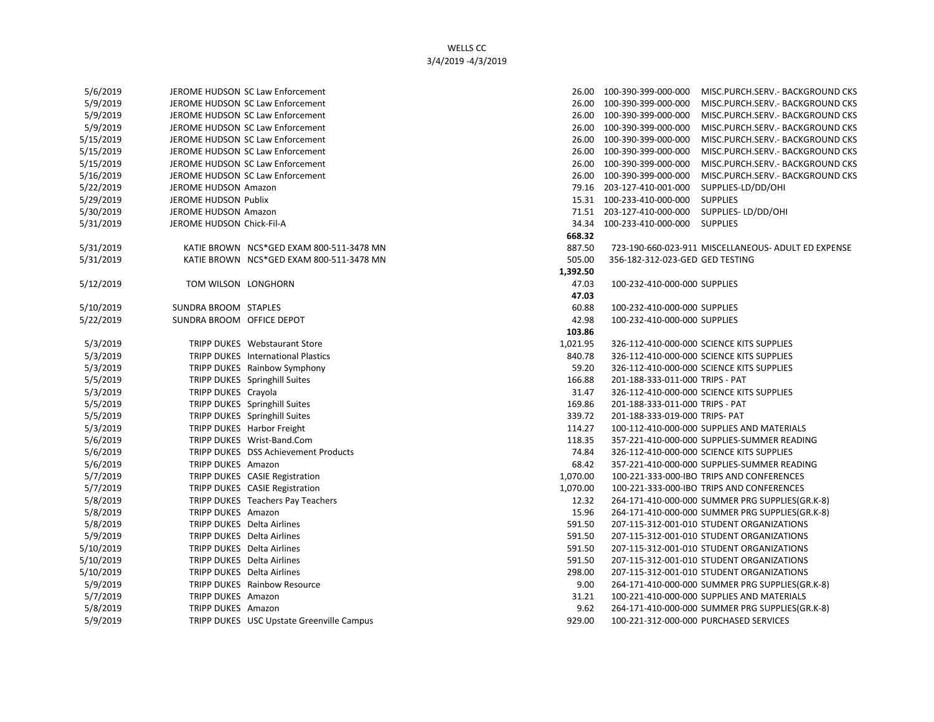## WELLS CC 3/4/2019 -4/3/2019

| 5/6/2019  |                                   | JEROME HUDSON SC Law Enforcement          |          | 26.00 100-390-399-000-000       | MISC.PURCH.SERV. - BACKGROUND CKS                   |
|-----------|-----------------------------------|-------------------------------------------|----------|---------------------------------|-----------------------------------------------------|
| 5/9/2019  |                                   | JEROME HUDSON SC Law Enforcement          |          | 26.00 100-390-399-000-000       | MISC.PURCH.SERV. - BACKGROUND CKS                   |
| 5/9/2019  |                                   | JEROME HUDSON SC Law Enforcement          |          | 26.00 100-390-399-000-000       | MISC.PURCH.SERV.- BACKGROUND CKS                    |
| 5/9/2019  |                                   | JEROME HUDSON SC Law Enforcement          |          | 26.00 100-390-399-000-000       | MISC.PURCH.SERV. - BACKGROUND CKS                   |
| 5/15/2019 |                                   | JEROME HUDSON SC Law Enforcement          |          | 26.00 100-390-399-000-000       | MISC.PURCH.SERV. - BACKGROUND CKS                   |
| 5/15/2019 |                                   | JEROME HUDSON SC Law Enforcement          |          | 26.00 100-390-399-000-000       | MISC.PURCH.SERV.- BACKGROUND CKS                    |
| 5/15/2019 |                                   | JEROME HUDSON SC Law Enforcement          |          | 26.00 100-390-399-000-000       | MISC.PURCH.SERV. - BACKGROUND CKS                   |
| 5/16/2019 |                                   | JEROME HUDSON SC Law Enforcement          |          | 26.00 100-390-399-000-000       | MISC.PURCH.SERV. - BACKGROUND CKS                   |
| 5/22/2019 | JEROME HUDSON Amazon              |                                           |          | 79.16 203-127-410-001-000       | SUPPLIES-LD/DD/OHI                                  |
| 5/29/2019 | JEROME HUDSON Publix              |                                           |          | 15.31  100-233-410-000-000      | <b>SUPPLIES</b>                                     |
| 5/30/2019 | JEROME HUDSON Amazon              |                                           |          | 71.51 203-127-410-000-000       | SUPPLIES-LD/DD/OHI                                  |
| 5/31/2019 | JEROME HUDSON Chick-Fil-A         |                                           | 34.34    | 100-233-410-000-000 SUPPLIES    |                                                     |
|           |                                   |                                           | 668.32   |                                 |                                                     |
| 5/31/2019 |                                   | KATIE BROWN NCS*GED EXAM 800-511-3478 MN  | 887.50   |                                 | 723-190-660-023-911 MISCELLANEOUS- ADULT ED EXPENSE |
| 5/31/2019 |                                   | KATIE BROWN NCS*GED EXAM 800-511-3478 MN  | 505.00   | 356-182-312-023-GED GED TESTING |                                                     |
|           |                                   |                                           | 1,392.50 |                                 |                                                     |
| 5/12/2019 | TOM WILSON LONGHORN               |                                           | 47.03    | 100-232-410-000-000 SUPPLIES    |                                                     |
|           |                                   |                                           | 47.03    |                                 |                                                     |
| 5/10/2019 | SUNDRA BROOM STAPLES              |                                           | 60.88    | 100-232-410-000-000 SUPPLIES    |                                                     |
| 5/22/2019 | SUNDRA BROOM OFFICE DEPOT         |                                           | 42.98    | 100-232-410-000-000 SUPPLIES    |                                                     |
|           |                                   |                                           | 103.86   |                                 |                                                     |
| 5/3/2019  |                                   | TRIPP DUKES Webstaurant Store             | 1,021.95 |                                 | 326-112-410-000-000 SCIENCE KITS SUPPLIES           |
| 5/3/2019  |                                   | TRIPP DUKES International Plastics        | 840.78   |                                 | 326-112-410-000-000 SCIENCE KITS SUPPLIES           |
| 5/3/2019  |                                   | TRIPP DUKES Rainbow Symphony              | 59.20    |                                 | 326-112-410-000-000 SCIENCE KITS SUPPLIES           |
| 5/5/2019  |                                   | TRIPP DUKES Springhill Suites             | 166.88   | 201-188-333-011-000 TRIPS - PAT |                                                     |
| 5/3/2019  | TRIPP DUKES Crayola               |                                           | 31.47    |                                 | 326-112-410-000-000 SCIENCE KITS SUPPLIES           |
| 5/5/2019  |                                   | TRIPP DUKES Springhill Suites             | 169.86   | 201-188-333-011-000 TRIPS - PAT |                                                     |
| 5/5/2019  |                                   | TRIPP DUKES Springhill Suites             | 339.72   | 201-188-333-019-000 TRIPS- PAT  |                                                     |
| 5/3/2019  |                                   | TRIPP DUKES Harbor Freight                | 114.27   |                                 | 100-112-410-000-000 SUPPLIES AND MATERIALS          |
| 5/6/2019  |                                   | TRIPP DUKES Wrist-Band.Com                | 118.35   |                                 | 357-221-410-000-000 SUPPLIES-SUMMER READING         |
| 5/6/2019  |                                   | TRIPP DUKES DSS Achievement Products      | 74.84    |                                 | 326-112-410-000-000 SCIENCE KITS SUPPLIES           |
| 5/6/2019  | TRIPP DUKES Amazon                |                                           | 68.42    |                                 | 357-221-410-000-000 SUPPLIES-SUMMER READING         |
| 5/7/2019  |                                   | TRIPP DUKES CASIE Registration            | 1,070.00 |                                 | 100-221-333-000-IBO TRIPS AND CONFERENCES           |
| 5/7/2019  |                                   | TRIPP DUKES CASIE Registration            | 1,070.00 |                                 | 100-221-333-000-IBO TRIPS AND CONFERENCES           |
| 5/8/2019  |                                   | TRIPP DUKES Teachers Pay Teachers         | 12.32    |                                 | 264-171-410-000-000 SUMMER PRG SUPPLIES(GR.K-8)     |
| 5/8/2019  | TRIPP DUKES Amazon                |                                           | 15.96    |                                 | 264-171-410-000-000 SUMMER PRG SUPPLIES(GR.K-8)     |
| 5/8/2019  | TRIPP DUKES Delta Airlines        |                                           | 591.50   |                                 | 207-115-312-001-010 STUDENT ORGANIZATIONS           |
| 5/9/2019  | <b>TRIPP DUKES</b> Delta Airlines |                                           | 591.50   |                                 | 207-115-312-001-010 STUDENT ORGANIZATIONS           |
| 5/10/2019 | TRIPP DUKES Delta Airlines        |                                           | 591.50   |                                 | 207-115-312-001-010 STUDENT ORGANIZATIONS           |
| 5/10/2019 | TRIPP DUKES Delta Airlines        |                                           | 591.50   |                                 | 207-115-312-001-010 STUDENT ORGANIZATIONS           |
| 5/10/2019 | <b>TRIPP DUKES</b> Delta Airlines |                                           | 298.00   |                                 | 207-115-312-001-010 STUDENT ORGANIZATIONS           |
| 5/9/2019  |                                   | TRIPP DUKES Rainbow Resource              | 9.00     |                                 | 264-171-410-000-000 SUMMER PRG SUPPLIES(GR.K-8)     |
| 5/7/2019  | TRIPP DUKES Amazon                |                                           | 31.21    |                                 | 100-221-410-000-000 SUPPLIES AND MATERIALS          |
| 5/8/2019  | TRIPP DUKES Amazon                |                                           | 9.62     |                                 | 264-171-410-000-000 SUMMER PRG SUPPLIES(GR.K-8)     |
| 5/9/2019  |                                   | TRIPP DUKES USC Upstate Greenville Campus | 929.00   |                                 | 100-221-312-000-000 PURCHASED SERVICES              |

| 5/6/2019 |                           | JEROME HUDSON SC Law Enforcement                 |          | 26.00 100-390-399-000-000       | MISC.PURCH.SERV. - BACKGROUND CKS                   |
|----------|---------------------------|--------------------------------------------------|----------|---------------------------------|-----------------------------------------------------|
| 5/9/2019 |                           | JEROME HUDSON SC Law Enforcement                 |          | 26.00 100-390-399-000-000       | MISC.PURCH.SERV.- BACKGROUND CKS                    |
| 5/9/2019 |                           | JEROME HUDSON SC Law Enforcement                 |          | 26.00 100-390-399-000-000       | MISC.PURCH.SERV.- BACKGROUND CKS                    |
| 5/9/2019 |                           | JEROME HUDSON SC Law Enforcement                 |          | 26.00 100-390-399-000-000       | MISC.PURCH.SERV.- BACKGROUND CKS                    |
| /15/2019 |                           | JEROME HUDSON SC Law Enforcement                 |          | 26.00 100-390-399-000-000       | MISC.PURCH.SERV.- BACKGROUND CKS                    |
| /15/2019 |                           | JEROME HUDSON SC Law Enforcement                 |          | 26.00 100-390-399-000-000       | MISC.PURCH.SERV.- BACKGROUND CKS                    |
| /15/2019 |                           | JEROME HUDSON SC Law Enforcement                 |          | 26.00 100-390-399-000-000       | MISC.PURCH.SERV. - BACKGROUND CKS                   |
| /16/2019 |                           | JEROME HUDSON SC Law Enforcement                 |          | 26.00 100-390-399-000-000       | MISC.PURCH.SERV.- BACKGROUND CKS                    |
| /22/2019 | JEROME HUDSON Amazon      |                                                  |          | 79.16 203-127-410-001-000       | SUPPLIES-LD/DD/OHI                                  |
| /29/2019 | JEROME HUDSON Publix      |                                                  |          | 15.31  100-233-410-000-000      | <b>SUPPLIES</b>                                     |
| /30/2019 | JEROME HUDSON Amazon      |                                                  |          | 71.51 203-127-410-000-000       | SUPPLIES-LD/DD/OHI                                  |
| /31/2019 | JEROME HUDSON Chick-Fil-A |                                                  |          | 34.34 100-233-410-000-000       | <b>SUPPLIES</b>                                     |
|          |                           |                                                  | 668.32   |                                 |                                                     |
| /31/2019 |                           | KATIE BROWN NCS*GED EXAM 800-511-3478 MN         | 887.50   |                                 | 723-190-660-023-911 MISCELLANEOUS- ADULT ED EXPENSE |
| /31/2019 |                           | KATIE BROWN NCS*GED EXAM 800-511-3478 MN         | 505.00   | 356-182-312-023-GED GED TESTING |                                                     |
|          |                           |                                                  | 1,392.50 |                                 |                                                     |
| /12/2019 | TOM WILSON LONGHORN       |                                                  | 47.03    | 100-232-410-000-000 SUPPLIES    |                                                     |
|          |                           |                                                  | 47.03    |                                 |                                                     |
| /10/2019 | SUNDRA BROOM STAPLES      |                                                  | 60.88    | 100-232-410-000-000 SUPPLIES    |                                                     |
| /22/2019 | SUNDRA BROOM OFFICE DEPOT |                                                  | 42.98    | 100-232-410-000-000 SUPPLIES    |                                                     |
|          |                           |                                                  | 103.86   |                                 |                                                     |
| 5/3/2019 |                           | TRIPP DUKES Webstaurant Store                    | 1,021.95 |                                 | 326-112-410-000-000 SCIENCE KITS SUPPLIES           |
| 5/3/2019 |                           | TRIPP DUKES International Plastics               | 840.78   |                                 | 326-112-410-000-000 SCIENCE KITS SUPPLIES           |
| 5/3/2019 |                           | TRIPP DUKES Rainbow Symphony                     | 59.20    |                                 | 326-112-410-000-000 SCIENCE KITS SUPPLIES           |
| 5/5/2019 |                           | TRIPP DUKES Springhill Suites                    | 166.88   | 201-188-333-011-000 TRIPS - PAT |                                                     |
| 5/3/2019 | TRIPP DUKES Crayola       |                                                  | 31.47    |                                 | 326-112-410-000-000 SCIENCE KITS SUPPLIES           |
| 5/5/2019 |                           | TRIPP DUKES Springhill Suites                    | 169.86   | 201-188-333-011-000 TRIPS - PAT |                                                     |
| 5/5/2019 |                           | TRIPP DUKES Springhill Suites                    | 339.72   | 201-188-333-019-000 TRIPS- PAT  |                                                     |
| 5/3/2019 |                           | TRIPP DUKES Harbor Freight                       | 114.27   |                                 | 100-112-410-000-000 SUPPLIES AND MATERIALS          |
| 5/6/2019 |                           | TRIPP DUKES Wrist-Band.Com                       | 118.35   |                                 | 357-221-410-000-000 SUPPLIES-SUMMER READING         |
| 5/6/2019 |                           | TRIPP DUKES DSS Achievement Products             | 74.84    |                                 | 326-112-410-000-000 SCIENCE KITS SUPPLIES           |
| 5/6/2019 | TRIPP DUKES Amazon        |                                                  | 68.42    |                                 | 357-221-410-000-000 SUPPLIES-SUMMER READING         |
| 5/7/2019 |                           | TRIPP DUKES CASIE Registration                   | 1,070.00 |                                 | 100-221-333-000-IBO TRIPS AND CONFERENCES           |
| 5/7/2019 |                           | TRIPP DUKES CASIE Registration                   | 1,070.00 |                                 | 100-221-333-000-IBO TRIPS AND CONFERENCES           |
| 5/8/2019 |                           | TRIPP DUKES Teachers Pay Teachers                | 12.32    |                                 | 264-171-410-000-000 SUMMER PRG SUPPLIES(GR.K-8)     |
| 5/8/2019 | TRIPP DUKES Amazon        |                                                  | 15.96    |                                 | 264-171-410-000-000 SUMMER PRG SUPPLIES(GR.K-8)     |
| 5/8/2019 |                           | TRIPP DUKES Delta Airlines                       | 591.50   |                                 | 207-115-312-001-010 STUDENT ORGANIZATIONS           |
| 5/9/2019 |                           | TRIPP DUKES Delta Airlines                       | 591.50   |                                 | 207-115-312-001-010 STUDENT ORGANIZATIONS           |
| /10/2019 |                           | TRIPP DUKES Delta Airlines                       | 591.50   |                                 | 207-115-312-001-010 STUDENT ORGANIZATIONS           |
| /10/2019 |                           | TRIPP DUKES Delta Airlines                       | 591.50   |                                 | 207-115-312-001-010 STUDENT ORGANIZATIONS           |
| /10/2019 |                           | TRIPP DUKES Delta Airlines                       | 298.00   |                                 | 207-115-312-001-010 STUDENT ORGANIZATIONS           |
| 5/9/2019 |                           | TRIPP DUKES Rainbow Resource                     | 9.00     |                                 | 264-171-410-000-000 SUMMER PRG SUPPLIES(GR.K-8)     |
| 5/7/2019 | TRIPP DUKES Amazon        |                                                  | 31.21    |                                 | 100-221-410-000-000 SUPPLIES AND MATERIALS          |
| 5/8/2019 | TRIPP DUKES Amazon        |                                                  | 9.62     |                                 | 264-171-410-000-000 SUMMER PRG SUPPLIES(GR.K-8)     |
| 5/9/2019 |                           | <b>TRIPP DUKES USC Upstate Greenville Campus</b> | 929.00   |                                 | 100-221-312-000-000 PURCHASED SERVICES              |